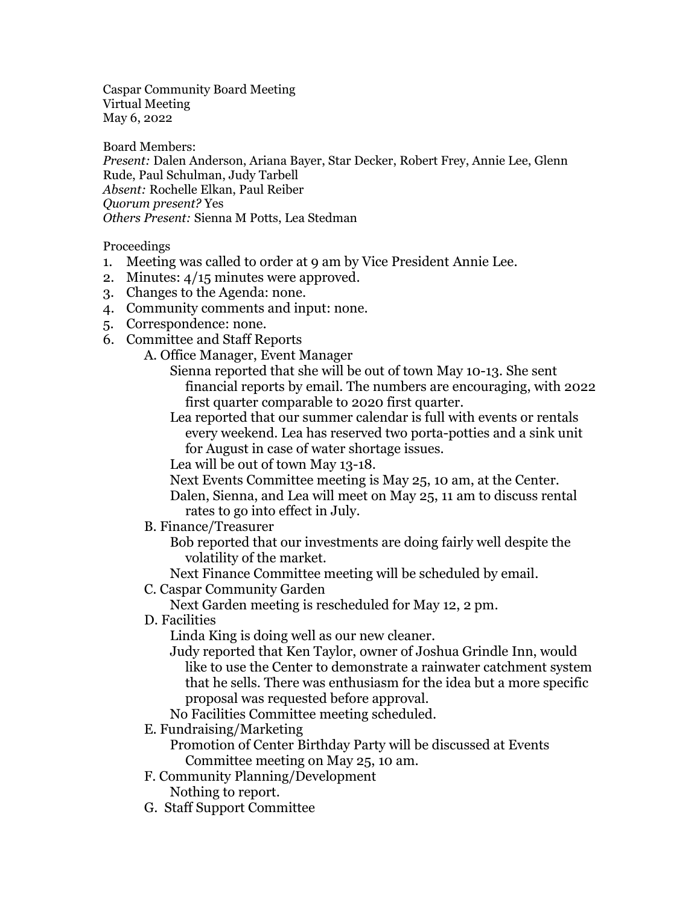Caspar Community Board Meeting Virtual Meeting May 6, 2022

Board Members: *Present:* Dalen Anderson, Ariana Bayer, Star Decker, Robert Frey, Annie Lee, Glenn Rude, Paul Schulman, Judy Tarbell *Absent:* Rochelle Elkan, Paul Reiber *Quorum present?* Yes *Others Present:* Sienna M Potts, Lea Stedman

Proceedings

- 1. Meeting was called to order at 9 am by Vice President Annie Lee.
- 2. Minutes: 4/15 minutes were approved.
- 3. Changes to the Agenda: none.
- 4. Community comments and input: none.
- 5. Correspondence: none.
- 6. Committee and Staff Reports
	- A. Office Manager, Event Manager
		- Sienna reported that she will be out of town May 10-13. She sent financial reports by email. The numbers are encouraging, with 2022 first quarter comparable to 2020 first quarter.

Lea reported that our summer calendar is full with events or rentals every weekend. Lea has reserved two porta-potties and a sink unit for August in case of water shortage issues.

Lea will be out of town May 13-18.

Next Events Committee meeting is May 25, 10 am, at the Center.

Dalen, Sienna, and Lea will meet on May 25, 11 am to discuss rental rates to go into effect in July.

B. Finance/Treasurer

Bob reported that our investments are doing fairly well despite the volatility of the market.

Next Finance Committee meeting will be scheduled by email.

C. Caspar Community Garden

Next Garden meeting is rescheduled for May 12, 2 pm.

D. Facilities

Linda King is doing well as our new cleaner.

Judy reported that Ken Taylor, owner of Joshua Grindle Inn, would like to use the Center to demonstrate a rainwater catchment system that he sells. There was enthusiasm for the idea but a more specific proposal was requested before approval.

No Facilities Committee meeting scheduled.

E. Fundraising/Marketing

Promotion of Center Birthday Party will be discussed at Events Committee meeting on May 25, 10 am.

F. Community Planning/Development

Nothing to report.

G. Staff Support Committee